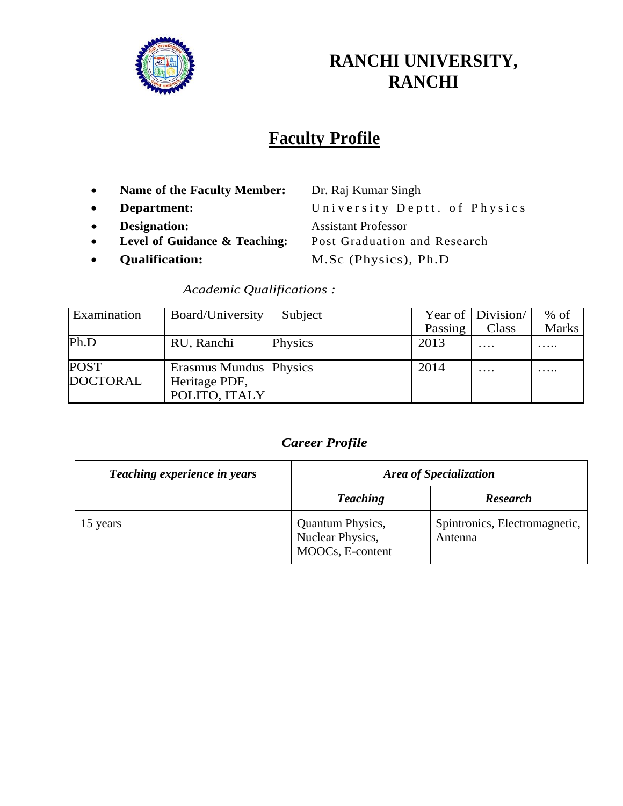

# **RANCHI UNIVERSITY, RANCHI**

# **Faculty Profile**

- **Name of the Faculty Member:** Dr. Raj Kumar Singh
- 
- **Designation:** Assistant Professor
- **Level of Guidance & Teaching:** Post Graduation and Research
- 

**Department:** University Deptt. of Physics **Qualification:** M.Sc (Physics), Ph.D

*Academic Qualifications :*

| Examination                    | Board/University                                         | Subject |         | Year of   Division | $%$ of |
|--------------------------------|----------------------------------------------------------|---------|---------|--------------------|--------|
|                                |                                                          |         | Passing | Class              | Marks  |
| Ph.D                           | RU, Ranchi                                               | Physics | 2013    | $\cdots$           |        |
| <b>POST</b><br><b>DOCTORAL</b> | Erasmus Mundus Physics<br>Heritage PDF,<br>POLITO, ITALY |         | 2014    | $\cdots$           |        |

#### *Career Profile*

| Teaching experience in years | Area of Specialization                                          |                                          |
|------------------------------|-----------------------------------------------------------------|------------------------------------------|
|                              | <b>Teaching</b>                                                 | <b>Research</b>                          |
| 15 years                     | <b>Quantum Physics,</b><br>Nuclear Physics,<br>MOOCs, E-content | Spintronics, Electromagnetic,<br>Antenna |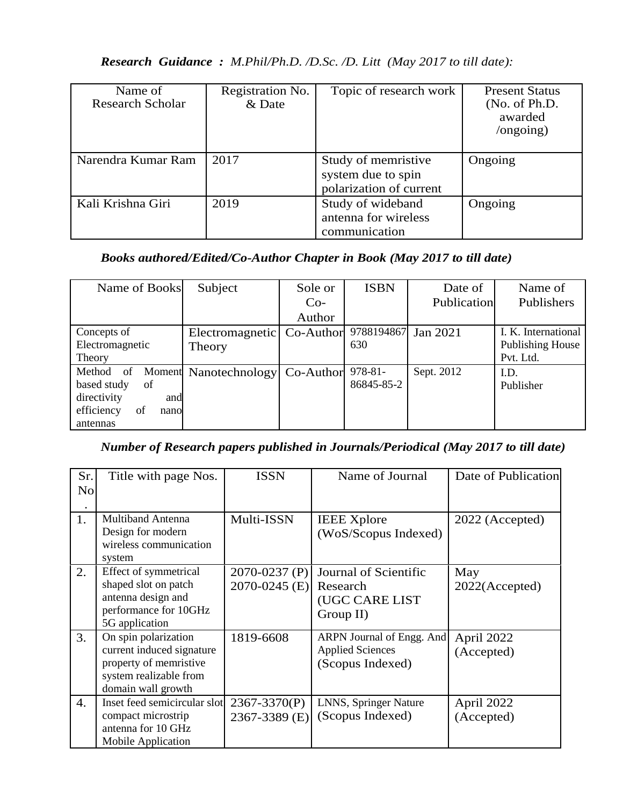| <b>Research Guidance :</b> M.Phil/Ph.D. /D.Sc. /D. Litt (May 2017 to till date): |  |
|----------------------------------------------------------------------------------|--|
|----------------------------------------------------------------------------------|--|

| Name of<br><b>Research Scholar</b> | Registration No.<br>& Date | Topic of research work                                               | <b>Present Status</b><br>(No. of Ph.D.<br>awarded<br>$\log$ ongoing) |
|------------------------------------|----------------------------|----------------------------------------------------------------------|----------------------------------------------------------------------|
| Narendra Kumar Ram                 | 2017                       | Study of memristive<br>system due to spin<br>polarization of current | Ongoing                                                              |
| Kali Krishna Giri                  | 2019                       | Study of wideband<br>antenna for wireless<br>communication           | Ongoing                                                              |

# *Books authored/Edited/Co-Author Chapter in Book (May 2017 to till date)*

| Name of Books            | Subject               | Sole or   | <b>ISBN</b>         | Date of     | Name of                 |
|--------------------------|-----------------------|-----------|---------------------|-------------|-------------------------|
|                          |                       | $Co-$     |                     | Publication | Publishers              |
|                          |                       | Author    |                     |             |                         |
| Concepts of              | Electromagnetic       | Co-Author | 9788194867 Jan 2021 |             | I. K. International     |
| Electromagnetic          | Theory                |           | 630                 |             | <b>Publishing House</b> |
| Theory                   |                       |           |                     |             | Pvt. Ltd.               |
| Method<br>of             | Moment Nanotechnology | Co-Author | $978 - 81 -$        | Sept. 2012  | I.D.                    |
| based study<br>of        |                       |           | 86845-85-2          |             | Publisher               |
| directivity<br>and       |                       |           |                     |             |                         |
| efficiency<br>of<br>nano |                       |           |                     |             |                         |
| antennas                 |                       |           |                     |             |                         |

## *Number of Research papers published in Journals/Periodical (May 2017 to till date)*

| Sr.<br>N <sub>o</sub> | Title with page Nos.                                                                                                        | <b>ISSN</b>                        | Name of Journal                                                          | Date of Publication      |
|-----------------------|-----------------------------------------------------------------------------------------------------------------------------|------------------------------------|--------------------------------------------------------------------------|--------------------------|
| 1.                    | <b>Multiband Antenna</b><br>Design for modern<br>wireless communication<br>system                                           | Multi-ISSN                         | <b>IEEE</b> Xplore<br>(WoS/Scopus Indexed)                               | 2022 (Accepted)          |
| 2.                    | Effect of symmetrical<br>shaped slot on patch<br>antenna design and<br>performance for 10GHz<br>5G application              | 2070-0237 (P)<br>$2070 - 0245$ (E) | Journal of Scientific<br>Research<br>(UGC CARE LIST<br>Group II)         | May<br>2022(Accepted)    |
| 3.                    | On spin polarization<br>current induced signature<br>property of memristive<br>system realizable from<br>domain wall growth | 1819-6608                          | ARPN Journal of Engg. And<br><b>Applied Sciences</b><br>(Scopus Indexed) | April 2022<br>(Accepted) |
| $\overline{4}$ .      | Inset feed semicircular slot<br>compact microstrip<br>antenna for 10 GHz<br>Mobile Application                              | 2367-3370(P)<br>2367-3389 (E)      | LNNS, Springer Nature<br>(Scopus Indexed)                                | April 2022<br>(Accepted) |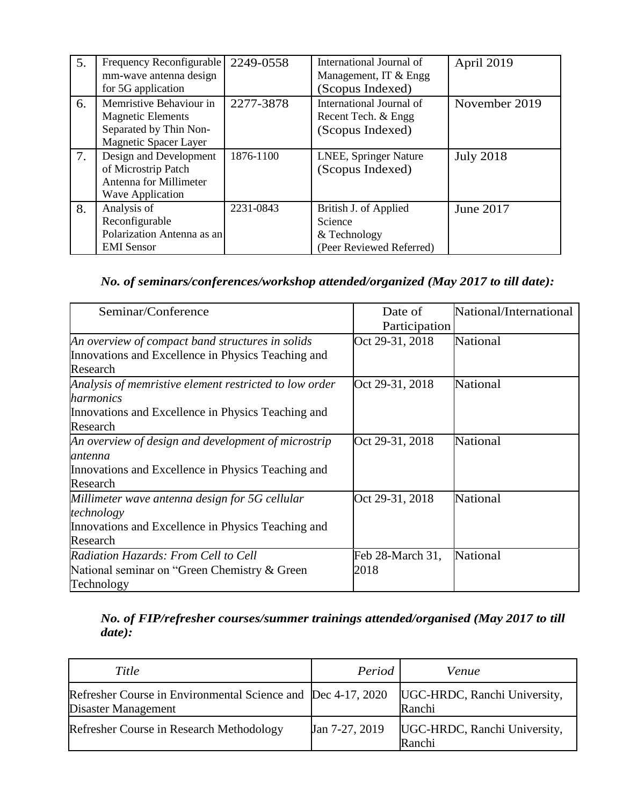| 5. | Frequency Reconfigurable<br>mm-wave antenna design<br>for 5G application                                      | 2249-0558 | International Journal of<br>Management, IT & Engg<br>(Scopus Indexed)        | April 2019       |
|----|---------------------------------------------------------------------------------------------------------------|-----------|------------------------------------------------------------------------------|------------------|
| 6. | Memristive Behaviour in<br><b>Magnetic Elements</b><br>Separated by Thin Non-<br><b>Magnetic Spacer Layer</b> | 2277-3878 | International Journal of<br>Recent Tech. & Engg<br>(Scopus Indexed)          | November 2019    |
| 7. | Design and Development<br>of Microstrip Patch<br>Antenna for Millimeter<br><b>Wave Application</b>            | 1876-1100 | LNEE, Springer Nature<br>(Scopus Indexed)                                    | <b>July 2018</b> |
| 8. | Analysis of<br>Reconfigurable<br>Polarization Antenna as an<br><b>EMI</b> Sensor                              | 2231-0843 | British J. of Applied<br>Science<br>& Technology<br>(Peer Reviewed Referred) | June 2017        |

### *No. of seminars/conferences/workshop attended/organized (May 2017 to till date):*

| Seminar/Conference                                                                                                                    | Date of<br>Participation | National/International |
|---------------------------------------------------------------------------------------------------------------------------------------|--------------------------|------------------------|
| An overview of compact band structures in solids<br>Innovations and Excellence in Physics Teaching and<br>Research                    | Oct 29-31, 2018          | National               |
| Analysis of memristive element restricted to low order<br>harmonics<br>Innovations and Excellence in Physics Teaching and<br>Research | Oct 29-31, 2018          | National               |
| An overview of design and development of microstrip<br>antenna<br>Innovations and Excellence in Physics Teaching and<br>Research      | Oct 29-31, 2018          | National               |
| Millimeter wave antenna design for 5G cellular<br>technology<br>Innovations and Excellence in Physics Teaching and<br>Research        | Oct 29-31, 2018          | National               |
| Radiation Hazards: From Cell to Cell<br>National seminar on "Green Chemistry & Green<br>Technology                                    | Feb 28-March 31,<br>2018 | National               |

## *No. of FIP/refresher courses/summer trainings attended/organised (May 2017 to till date):*

| Title                                                                               | Period         | Venue                                  |
|-------------------------------------------------------------------------------------|----------------|----------------------------------------|
| Refresher Course in Environmental Science and Dec 4-17, 2020<br>Disaster Management |                | UGC-HRDC, Ranchi University,<br>Ranchi |
| Refresher Course in Research Methodology                                            | Jan 7-27, 2019 | UGC-HRDC, Ranchi University,<br>Ranchi |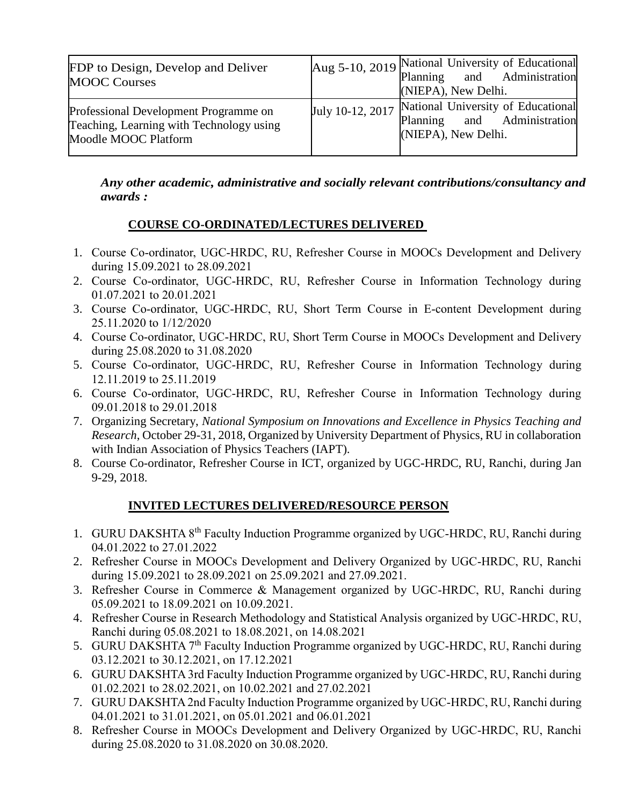| FDP to Design, Develop and Deliver<br><b>MOOC Courses</b>                                                 | Aug 5-10, 2019 National University of Educational<br>Planning and Administration<br>(NIEPA), New Delhi.   |
|-----------------------------------------------------------------------------------------------------------|-----------------------------------------------------------------------------------------------------------|
| Professional Development Programme on<br>Teaching, Learning with Technology using<br>Moodle MOOC Platform | July 10-12, 2017 National University of Educational<br>Planning and Administration<br>(NIEPA), New Delhi. |

*Any other academic, administrative and socially relevant contributions/consultancy and awards :*

#### **COURSE CO-ORDINATED/LECTURES DELIVERED**

- 1. Course Co-ordinator, UGC-HRDC, RU, Refresher Course in MOOCs Development and Delivery during 15.09.2021 to 28.09.2021
- 2. Course Co-ordinator, UGC-HRDC, RU, Refresher Course in Information Technology during 01.07.2021 to 20.01.2021
- 3. Course Co-ordinator, UGC-HRDC, RU, Short Term Course in E-content Development during 25.11.2020 to 1/12/2020
- 4. Course Co-ordinator, UGC-HRDC, RU, Short Term Course in MOOCs Development and Delivery during 25.08.2020 to 31.08.2020
- 5. Course Co-ordinator, UGC-HRDC, RU, Refresher Course in Information Technology during 12.11.2019 to 25.11.2019
- 6. Course Co-ordinator, UGC-HRDC, RU, Refresher Course in Information Technology during 09.01.2018 to 29.01.2018
- 7. Organizing Secretary, *National Symposium on Innovations and Excellence in Physics Teaching and Research*, October 29-31, 2018, Organized by University Department of Physics, RU in collaboration with Indian Association of Physics Teachers (IAPT).
- 8. Course Co-ordinator, Refresher Course in ICT, organized by UGC-HRDC, RU, Ranchi, during Jan 9-29, 2018.

#### **INVITED LECTURES DELIVERED/RESOURCE PERSON**

- 1. GURU DAKSHTA 8th Faculty Induction Programme organized by UGC-HRDC, RU, Ranchi during 04.01.2022 to 27.01.2022
- 2. Refresher Course in MOOCs Development and Delivery Organized by UGC-HRDC, RU, Ranchi during 15.09.2021 to 28.09.2021 on 25.09.2021 and 27.09.2021.
- 3. Refresher Course in Commerce & Management organized by UGC-HRDC, RU, Ranchi during 05.09.2021 to 18.09.2021 on 10.09.2021.
- 4. Refresher Course in Research Methodology and Statistical Analysis organized by UGC-HRDC, RU, Ranchi during 05.08.2021 to 18.08.2021, on 14.08.2021
- 5. GURU DAKSHTA 7<sup>th</sup> Faculty Induction Programme organized by UGC-HRDC, RU, Ranchi during 03.12.2021 to 30.12.2021, on 17.12.2021
- 6. GURU DAKSHTA 3rd Faculty Induction Programme organized by UGC-HRDC, RU, Ranchi during 01.02.2021 to 28.02.2021, on 10.02.2021 and 27.02.2021
- 7. GURU DAKSHTA 2nd Faculty Induction Programme organized by UGC-HRDC, RU, Ranchi during 04.01.2021 to 31.01.2021, on 05.01.2021 and 06.01.2021
- 8. Refresher Course in MOOCs Development and Delivery Organized by UGC-HRDC, RU, Ranchi during 25.08.2020 to 31.08.2020 on 30.08.2020.